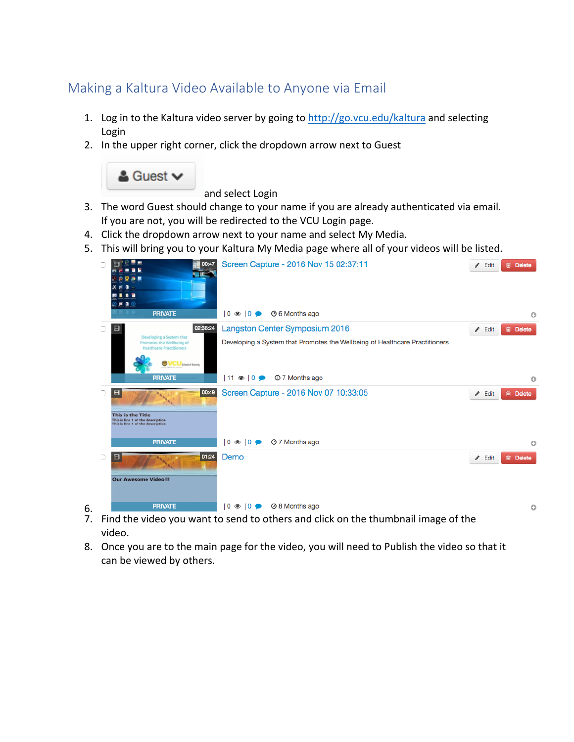## Making a Kaltura Video Available to Anyone via Email

- 1. Log in to the Kaltura video server by going to http://go.vcu.edu/kaltura and selecting Login
- 2. In the upper right corner, click the dropdown arrow next to Guest



and select Login

- 3. The word Guest should change to your name if you are already authenticated via email. If you are not, you will be redirected to the VCU Login page.
- 4. Click the dropdown arrow next to your name and select My Media.
- 5. This will bring you to your Kaltura My Media page where all of your videos will be listed.



- 7. Find the video you want to send to others and click on the thumbnail image of the video.
- 8. Once you are to the main page for the video, you will need to Publish the video so that it can be viewed by others.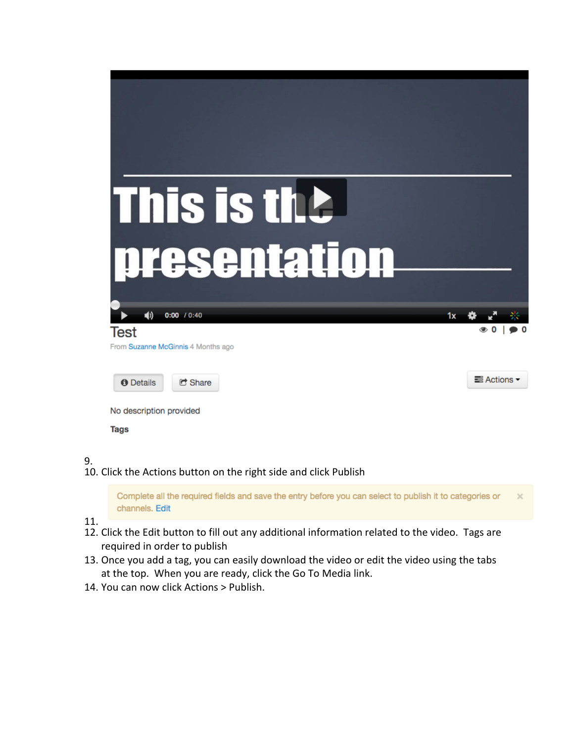| This is the                        |                                 |
|------------------------------------|---------------------------------|
| presentation                       |                                 |
|                                    |                                 |
| (d)<br>0:00 10:40<br>1x            |                                 |
| Test                               | $\circledcirc$ 0<br>$\bullet$ 0 |
| From Suzanne McGinnis 4 Months ago |                                 |
| C Share<br><b>O</b> Details        | ■ Actions ▼                     |
| No description provided            |                                 |
| <b>Tags</b>                        |                                 |

## 9.

10. Click the Actions button on the right side and click Publish

Complete all the required fields and save the entry before you can select to publish it to categories or channels. Edit

11.

- 12. Click the Edit button to fill out any additional information related to the video. Tags are required in order to publish
- 13. Once you add a tag, you can easily download the video or edit the video using the tabs at the top. When you are ready, click the Go To Media link.
- 14. You can now click Actions > Publish.